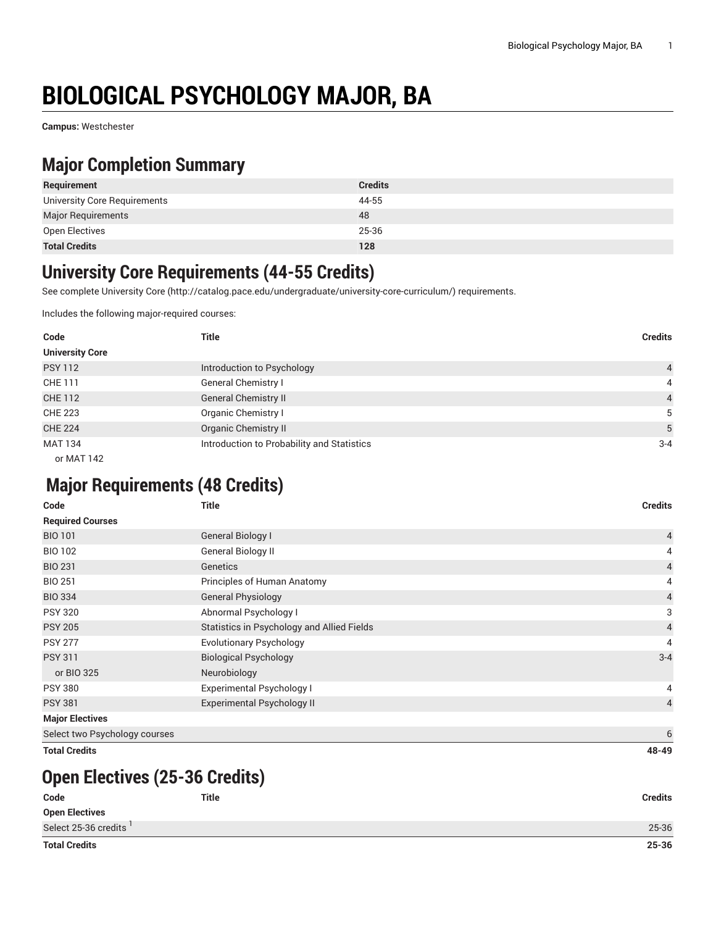# **BIOLOGICAL PSYCHOLOGY MAJOR, BA**

**Campus:** Westchester

### **Major Completion Summary**

| Requirement                  | <b>Credits</b> |
|------------------------------|----------------|
| University Core Requirements | 44-55          |
| <b>Major Requirements</b>    | 48             |
| Open Electives               | 25-36          |
| <b>Total Credits</b>         | 128            |

#### **University Core Requirements (44-55 Credits)**

See complete [University](http://catalog.pace.edu/undergraduate/university-core-curriculum/) Core (<http://catalog.pace.edu/undergraduate/university-core-curriculum/>) requirements.

Includes the following major-required courses:

| Code                   | <b>Title</b>                               | <b>Credits</b> |
|------------------------|--------------------------------------------|----------------|
| <b>University Core</b> |                                            |                |
| <b>PSY 112</b>         | Introduction to Psychology                 | $\overline{4}$ |
| CHE 111                | General Chemistry I                        | 4              |
| <b>CHE 112</b>         | <b>General Chemistry II</b>                | $\overline{4}$ |
| <b>CHE 223</b>         | Organic Chemistry I                        | 5              |
| <b>CHE 224</b>         | <b>Organic Chemistry II</b>                | 5              |
| <b>MAT 134</b>         | Introduction to Probability and Statistics | $3 - 4$        |
| or MAT 142             |                                            |                |

## **Major Requirements (48 Credits)**

| Code                          | <b>Title</b>                               | <b>Credits</b> |
|-------------------------------|--------------------------------------------|----------------|
| <b>Required Courses</b>       |                                            |                |
| <b>BIO 101</b>                | General Biology I                          | $\overline{4}$ |
| <b>BIO 102</b>                | General Biology II                         | 4              |
| <b>BIO 231</b>                | Genetics                                   | $\overline{4}$ |
| <b>BIO 251</b>                | Principles of Human Anatomy                | 4              |
| <b>BIO 334</b>                | <b>General Physiology</b>                  | $\sqrt{4}$     |
| <b>PSY 320</b>                | Abnormal Psychology I                      | 3              |
| <b>PSY 205</b>                | Statistics in Psychology and Allied Fields | $\overline{4}$ |
| <b>PSY 277</b>                | <b>Evolutionary Psychology</b>             | 4              |
| <b>PSY 311</b>                | <b>Biological Psychology</b>               | $3 - 4$        |
| or BIO 325                    | Neurobiology                               |                |
| <b>PSY 380</b>                | <b>Experimental Psychology I</b>           | 4              |
| <b>PSY 381</b>                | <b>Experimental Psychology II</b>          | $\overline{4}$ |
| <b>Major Electives</b>        |                                            |                |
| Select two Psychology courses |                                            | 6              |
| <b>Total Credits</b>          |                                            | 48-49          |

#### **Open Electives (25-36 Credits)**

| <b>Total Credits</b>  |              | 25-36          |
|-----------------------|--------------|----------------|
| Select 25-36 credits  |              | 25-36          |
| <b>Open Electives</b> |              |                |
| Code                  | <b>Title</b> | <b>Credits</b> |
|                       |              |                |